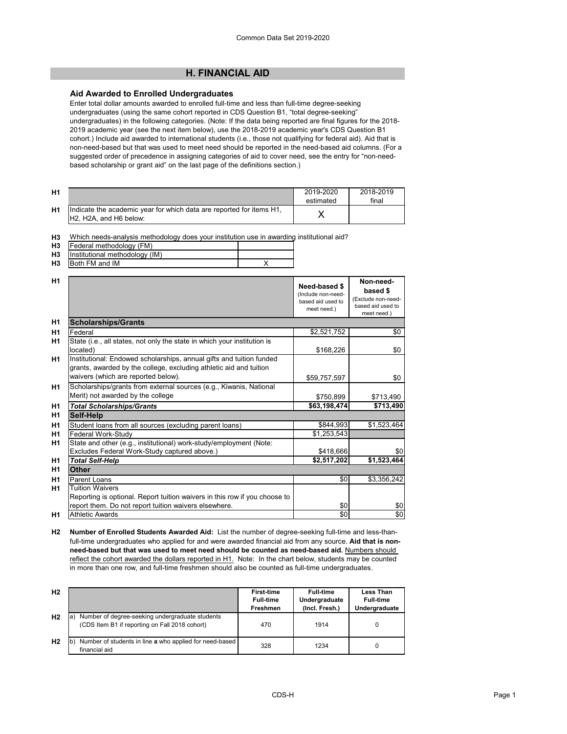## **H. FINANCIAL AID**

### **Aid Awarded to Enrolled Undergraduates**

Enter total dollar amounts awarded to enrolled full-time and less than full-time degree-seeking undergraduates (using the same cohort reported in CDS Question B1, "total degree-seeking" undergraduates) in the following categories. (Note: If the data being reported are final figures for the 2018- 2019 academic year (see the next item below), use the 2018-2019 academic year's CDS Question B1 cohort.) Include aid awarded to international students (i.e., those not qualifying for federal aid). Aid that is non-need-based but that was used to meet need should be reported in the need-based aid columns. (For a suggested order of precedence in assigning categories of aid to cover need, see the entry for "non-needbased scholarship or grant aid" on the last page of the definitions section.)

| H <sub>1</sub> |                                                                                                                                      | 2019-2020<br>estimated | 2018-2019<br>final |
|----------------|--------------------------------------------------------------------------------------------------------------------------------------|------------------------|--------------------|
| H1             | Indicate the academic year for which data are reported for items H1,<br>H <sub>2</sub> , H <sub>2</sub> A, and H <sub>6</sub> below: |                        |                    |

**H3** Which needs-analysis methodology does your institution use in awarding institutional aid?

|           | $H3$ Federal methodology (FM)       |  |
|-----------|-------------------------------------|--|
|           | H3   Institutional methodology (IM) |  |
| <b>H3</b> | <b>Both FM and IM</b>               |  |

| H <sub>1</sub> |                                                                                                                                            | Need-based \$                                          | Non-need-<br>based \$                                  |
|----------------|--------------------------------------------------------------------------------------------------------------------------------------------|--------------------------------------------------------|--------------------------------------------------------|
|                |                                                                                                                                            | (Include non-need-<br>based aid used to<br>meet need.) | (Exclude non-need-<br>based aid used to<br>meet need.) |
| H <sub>1</sub> | <b>Scholarships/Grants</b>                                                                                                                 |                                                        |                                                        |
| H1             | Federal                                                                                                                                    | \$2,521,752                                            | \$0                                                    |
| H1             | State (i.e., all states, not only the state in which your institution is<br>located)                                                       | \$168,226                                              | \$0                                                    |
| H1             | Institutional: Endowed scholarships, annual gifts and tuition funded<br>grants, awarded by the college, excluding athletic aid and tuition |                                                        |                                                        |
|                | waivers (which are reported below).                                                                                                        | \$59,757,597                                           | \$0                                                    |
| H1             | Scholarships/grants from external sources (e.g., Kiwanis, National<br>Merit) not awarded by the college                                    | \$750,899                                              | \$713,490                                              |
| H1             | <b>Total Scholarships/Grants</b>                                                                                                           | \$63,198,474                                           | \$713,490                                              |
| H1             | <b>Self-Help</b>                                                                                                                           |                                                        |                                                        |
| H <sub>1</sub> | Student loans from all sources (excluding parent loans)                                                                                    | \$844,993                                              | \$1,523,464                                            |
| H1             | Federal Work-Study                                                                                                                         | \$1,253,543                                            |                                                        |
| H1             | State and other (e.g., institutional) work-study/employment (Note:                                                                         |                                                        |                                                        |
|                | Excludes Federal Work-Study captured above.)                                                                                               | \$418,666                                              | \$0                                                    |
| H1             | <b>Total Self-Help</b>                                                                                                                     | \$2,517,202                                            | \$1,523,464                                            |
| H <sub>1</sub> | <b>Other</b>                                                                                                                               |                                                        |                                                        |
| H1             | <b>Parent Loans</b>                                                                                                                        | \$0                                                    | \$3,356,242                                            |
| H1             | <b>Tuition Waivers</b>                                                                                                                     |                                                        |                                                        |
|                | Reporting is optional. Report tuition waivers in this row if you choose to                                                                 |                                                        |                                                        |
|                | report them. Do not report tuition waivers elsewhere.                                                                                      | \$0                                                    | \$0                                                    |
| H1             | <b>Athletic Awards</b>                                                                                                                     | \$0                                                    | \$0                                                    |

**H2 Number of Enrolled Students Awarded Aid:** List the number of degree-seeking full-time and less-thanfull-time undergraduates who applied for and were awarded financial aid from any source. **Aid that is nonneed-based but that was used to meet need should be counted as need-based aid.** Numbers should reflect the cohort awarded the dollars reported in H1. Note: In the chart below, students may be counted in more than one row, and full-time freshmen should also be counted as full-time undergraduates.

| H <sub>2</sub> |                                                                                                          | <b>First-time</b><br><b>Full-time</b><br><b>Freshmen</b> | <b>Full-time</b><br>Undergraduate<br>(Incl. Fresh.) | <b>Less Than</b><br><b>Full-time</b><br>Undergraduate |
|----------------|----------------------------------------------------------------------------------------------------------|----------------------------------------------------------|-----------------------------------------------------|-------------------------------------------------------|
| H <sub>2</sub> | Number of degree-seeking undergraduate students<br>la.<br>(CDS Item B1 if reporting on Fall 2018 cohort) | 470                                                      | 1914                                                | 0                                                     |
| H <sub>2</sub> | Number of students in line a who applied for need-based<br>financial aid                                 | 328                                                      | 1234                                                | 0                                                     |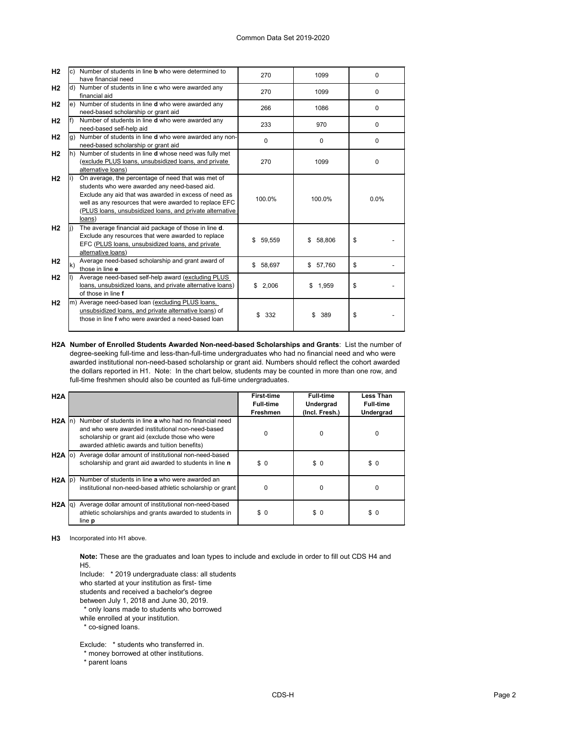| H <sub>2</sub> |    | Number of students in line <b>b</b> who were determined to<br>have financial need                                                                                                                                                                                                            | 270         | 1099         | $\Omega$ |
|----------------|----|----------------------------------------------------------------------------------------------------------------------------------------------------------------------------------------------------------------------------------------------------------------------------------------------|-------------|--------------|----------|
| H <sub>2</sub> | d) | Number of students in line c who were awarded any<br>financial aid                                                                                                                                                                                                                           | 270         | 1099         | $\Omega$ |
| H <sub>2</sub> | e) | Number of students in line <b>d</b> who were awarded any<br>need-based scholarship or grant aid                                                                                                                                                                                              | 266         | 1086         | 0        |
| H <sub>2</sub> |    | Number of students in line d who were awarded any<br>need-based self-help aid                                                                                                                                                                                                                | 233         | 970          | $\Omega$ |
| H <sub>2</sub> | g) | Number of students in line d who were awarded any non-<br>need-based scholarship or grant aid                                                                                                                                                                                                | $\Omega$    | 0            | $\Omega$ |
| H <sub>2</sub> | h) | Number of students in line d whose need was fully met<br>(exclude PLUS loans, unsubsidized loans, and private<br>alternative loans)                                                                                                                                                          | 270         | 1099         | $\Omega$ |
| H <sub>2</sub> |    | On average, the percentage of need that was met of<br>students who were awarded any need-based aid.<br>Exclude any aid that was awarded in excess of need as<br>well as any resources that were awarded to replace EFC<br>(PLUS loans, unsubsidized loans, and private alternative<br>loans) | 100.0%      | 100.0%       | 0.0%     |
| H <sub>2</sub> |    | The average financial aid package of those in line d.<br>Exclude any resources that were awarded to replace<br>EFC (PLUS loans, unsubsidized loans, and private<br>alternative loans)                                                                                                        | \$59,559    | 58,806<br>\$ | \$       |
| H <sub>2</sub> | k) | Average need-based scholarship and grant award of<br>those in line e                                                                                                                                                                                                                         | \$58,697    | 57,760<br>\$ | \$       |
| H <sub>2</sub> |    | Average need-based self-help award (excluding PLUS<br>loans, unsubsidized loans, and private alternative loans)<br>of those in line f                                                                                                                                                        | \$<br>2,006 | 1,959<br>\$  | \$       |
| H <sub>2</sub> |    | m) Average need-based loan (excluding PLUS loans,<br>unsubsidized loans, and private alternative loans) of<br>those in line f who were awarded a need-based loan                                                                                                                             | \$<br>332   | \$<br>389    | \$       |

**H2A Number of Enrolled Students Awarded Non-need-based Scholarships and Grants**: List the number of degree-seeking full-time and less-than-full-time undergraduates who had no financial need and who were awarded institutional non-need-based scholarship or grant aid. Numbers should reflect the cohort awarded the dollars reported in H1. Note: In the chart below, students may be counted in more than one row, and full-time freshmen should also be counted as full-time undergraduates.

| H2A               |                                                                                                                                                                                                                  | <b>First-time</b><br><b>Full-time</b><br><b>Freshmen</b> | <b>Full-time</b><br><b>Undergrad</b><br>(Incl. Fresh.) | <b>Less Than</b><br><b>Full-time</b><br><b>Undergrad</b> |
|-------------------|------------------------------------------------------------------------------------------------------------------------------------------------------------------------------------------------------------------|----------------------------------------------------------|--------------------------------------------------------|----------------------------------------------------------|
| $H2A \ln$         | Number of students in line a who had no financial need<br>and who were awarded institutional non-need-based<br>scholarship or grant aid (exclude those who were<br>awarded athletic awards and tuition benefits) | 0                                                        | 0                                                      | 0                                                        |
| $H2A$ (o)         | Average dollar amount of institutional non-need-based<br>scholarship and grant aid awarded to students in line n                                                                                                 | \$0                                                      | \$0                                                    | \$0                                                      |
| $H2A$ $ p\rangle$ | Number of students in line a who were awarded an<br>institutional non-need-based athletic scholarship or grant                                                                                                   | 0                                                        | 0                                                      | 0                                                        |
| H2A  q            | Average dollar amount of institutional non-need-based<br>athletic scholarships and grants awarded to students in<br>line <b>p</b>                                                                                | \$0                                                      | \$0                                                    | \$0                                                      |

**H3** Incorporated into H1 above.

**Note:** These are the graduates and loan types to include and exclude in order to fill out CDS H4 and H5.

Include: \* 2019 undergraduate class: all students

who started at your institution as first- time

students and received a bachelor's degree

between July 1, 2018 and June 30, 2019.

\* only loans made to students who borrowed

while enrolled at your institution.

\* co-signed loans.

Exclude: \* students who transferred in.

\* money borrowed at other institutions.

\* parent loans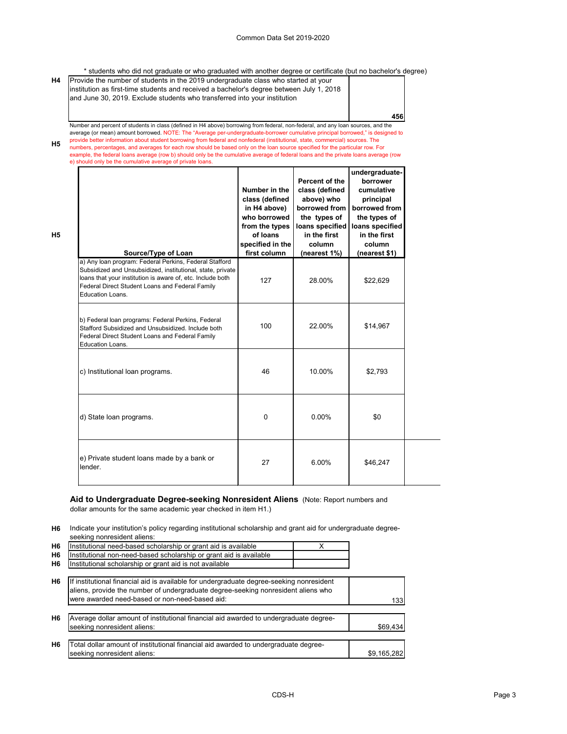**g p**

\* students who did not graduate or who graduated with another degree or certificate (but no bachelor's degree)

| H4 | Provide the number of students in the 2019 undergraduate class who started at your<br>institution as first-time students and received a bachelor's degree between July 1, 2018<br>and June 30, 2019. Exclude students who transferred into your institution |     |
|----|-------------------------------------------------------------------------------------------------------------------------------------------------------------------------------------------------------------------------------------------------------------|-----|
|    |                                                                                                                                                                                                                                                             | 456 |

**H5** Number and percent of students in class (defined in H4 above) borrowing from federal, non-federal, and any loan sources, and the average (or mean) amount borrowed. NOTE: The "Average per-undergraduate-borrower cumulative principal borrowed," is designed to provide better information about student borrowing from federal and nonfederal (institutional, state, commercial) sources. The numbers, percentages, and averages for each row should be based only on the loan source specified for the particular row. For example, the federal loans average (row b) should only be the cumulative average of federal loans and the private loans average (row

e) should only be the cumulative average of private loans.

**H5**

a) Any loan program: Federal Perkins, Federal Stafford Subsidized and Unsubsidized, institutional, state, private loans that your institution is aware of, etc. Include both Federal Direct Student Loans and Federal Family Education Loans. 127 | 28.00% | \$22,629 b) Federal loan programs: Federal Perkins, Federal Stafford Subsidized and Unsubsidized. Include both Federal Direct Student Loans and Federal Family Education Loans. 100 22.00% \$14,967 c) Institutional loan programs.  $\begin{array}{ccc} \hline \end{array}$  46  $\begin{array}{ccc} \hline \end{array}$  10.00%  $\begin{array}{ccc} \hline \end{array}$  \$2,793 d) State loan programs.  $\begin{array}{ccc} 0 & 0 \\ 0 & 0 \end{array}$  0.00%  $\begin{array}{ccc} 0.00 & 0.00 \\ 0.00 & 0.00 \end{array}$ e) Private student loans made by a bank or  $\frac{1}{27}$  8.00% \$46,247 ender. **undergraduateborrower cumulative principal borrowed from the types of loans specified in the first column (nearest \$1) Percent of the class (defined above) who borrowed from the types of loans specified in the first column (nearest 1%) Number in the class (defined in H4 above) who borrowed from the types of loans specified in the Source/Type of Loan first column** 

#### **Aid to Undergraduate Degree-seeking Nonresident Aliens** (Note: Report numbers and dollar amounts for the same academic year checked in item H1.)

**H6** Indicate your institution's policy regarding institutional scholarship and grant aid for undergraduate degreeseeking nonresident aliens:

| H <sub>6</sub> | Institutional need-based scholarship or grant aid is available     |  |
|----------------|--------------------------------------------------------------------|--|
| H <sub>6</sub> | Institutional non-need-based scholarship or grant aid is available |  |
| H <sub>6</sub> | Institutional scholarship or grant aid is not available            |  |

| H <sub>6</sub> | If institutional financial aid is available for undergraduate degree-seeking nonresident<br>aliens, provide the number of undergraduate degree-seeking nonresident aliens who |             |
|----------------|-------------------------------------------------------------------------------------------------------------------------------------------------------------------------------|-------------|
|                | were awarded need-based or non-need-based aid:                                                                                                                                | 133         |
| H <sub>6</sub> | Average dollar amount of institutional financial aid awarded to undergraduate degree-<br>seeking nonresident aliens:                                                          | \$69,434    |
| H <sub>6</sub> | Total dollar amount of institutional financial aid awarded to undergraduate degree-<br>seeking nonresident aliens:                                                            | \$9,165,282 |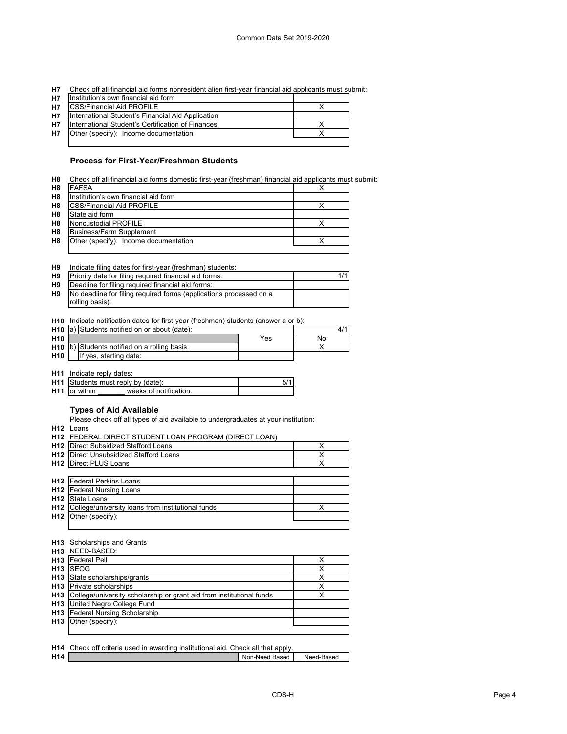| H7 Check off all financial aid forms nonresident alien first-year financial aid applicants must submit: |  |  |  |  |  |
|---------------------------------------------------------------------------------------------------------|--|--|--|--|--|
|---------------------------------------------------------------------------------------------------------|--|--|--|--|--|

| <b>H7</b> | Institution's own financial aid form              |  |
|-----------|---------------------------------------------------|--|
| H7        | <b>CSS/Financial Aid PROFILE</b>                  |  |
| H7        | International Student's Financial Aid Application |  |
| <b>H7</b> | International Student's Certification of Finances |  |
| <b>H7</b> | Other (specify): Income documentation             |  |
|           |                                                   |  |

## **Process for First-Year/Freshman Students**

| H8 Check off all financial aid forms domestic first-year (freshman) financial aid applicants must submit: |  |  |  |
|-----------------------------------------------------------------------------------------------------------|--|--|--|
|                                                                                                           |  |  |  |

| H <sub>8</sub> | IFAFSA                                 |  |
|----------------|----------------------------------------|--|
| H <sub>8</sub> | IInstitution's own financial aid form_ |  |
| H <sub>8</sub> | <b>ICSS/Financial Aid PROFILE</b>      |  |
| H <sub>8</sub> | <b>I</b> State aid form                |  |
| H <sub>8</sub> | <b>INoncustodial PROFILE</b>           |  |
| H <sub>8</sub> | Business/Farm Supplement               |  |
| H <sub>8</sub> | Other (specify): Income documentation  |  |
|                |                                        |  |

| H9 |  |  | Indicate filing dates for first-year (freshman) students: |  |
|----|--|--|-----------------------------------------------------------|--|
|----|--|--|-----------------------------------------------------------|--|

| H <sub>9</sub> | Priority date for filing required financial aid forms:             |  |
|----------------|--------------------------------------------------------------------|--|
| H9             | Deadline for filing required financial aid forms:                  |  |
| <b>H9</b>      | No deadline for filing required forms (applications processed on a |  |
|                | rolling basis):                                                    |  |

**H10** Indicate notification dates for first-year (freshman) students (answer a or b):

|                 | <b>H10</b> $ a $ Students notified on or about (date): |     |    |
|-----------------|--------------------------------------------------------|-----|----|
| H <sub>10</sub> |                                                        | Yes | No |
|                 | <b>H10</b> $ b $ Students notified on a rolling basis: |     |    |
| H <sub>10</sub> | If yes, starting date:                                 |     |    |

**H11** Indicate reply dates:

| <b>H11</b> Students must reply by (date): |                       |  |
|-------------------------------------------|-----------------------|--|
| <b>H11</b> for within                     | weeks of notification |  |

# **Types of Aid Available**

Please check off all types of aid available to undergraduates at your institution:

**H12** Loans

|                 | H12 FEDERAL DIRECT STUDENT LOAN PROGRAM (DIRECT LOAN) |   |
|-----------------|-------------------------------------------------------|---|
| H <sub>12</sub> | Direct Subsidized Stafford Loans                      | x |
| H <sub>12</sub> | Direct Unsubsidized Stafford Loans                    | х |
| H12             | Direct PLUS Loans                                     | Х |
|                 |                                                       |   |
|                 | <b>H12</b>   Federal Perkins Loans                    |   |
|                 | <b>H12</b>   Federal Nursing Loans                    |   |
| H <sub>12</sub> | State Loans                                           |   |
| H12             | College/university loans from institutional funds     | х |
| H <sub>12</sub> | Other (specify):                                      |   |
|                 |                                                       |   |
|                 |                                                       |   |

#### **H13** Scholarships and Grants

|                 | <b>H13</b> NEED-BASED:                                                   |  |
|-----------------|--------------------------------------------------------------------------|--|
|                 | H <sub>13</sub>   Federal Pell                                           |  |
| H <sub>13</sub> | <b>SEOG</b>                                                              |  |
|                 | H13 State scholarships/grants                                            |  |
|                 | <b>H13</b> Private scholarships                                          |  |
|                 | H13 College/university scholarship or grant aid from institutional funds |  |
|                 | <b>H13</b> United Negro College Fund                                     |  |
|                 | <b>H13</b> Federal Nursing Scholarship                                   |  |
|                 | <b>H13</b> Other (specify):                                              |  |
|                 |                                                                          |  |

|     | <b>H14</b> Check off criteria used in awarding institutional aid. Check all that apply. |                |            |
|-----|-----------------------------------------------------------------------------------------|----------------|------------|
| H14 |                                                                                         | Non-Need Based | Need-Based |